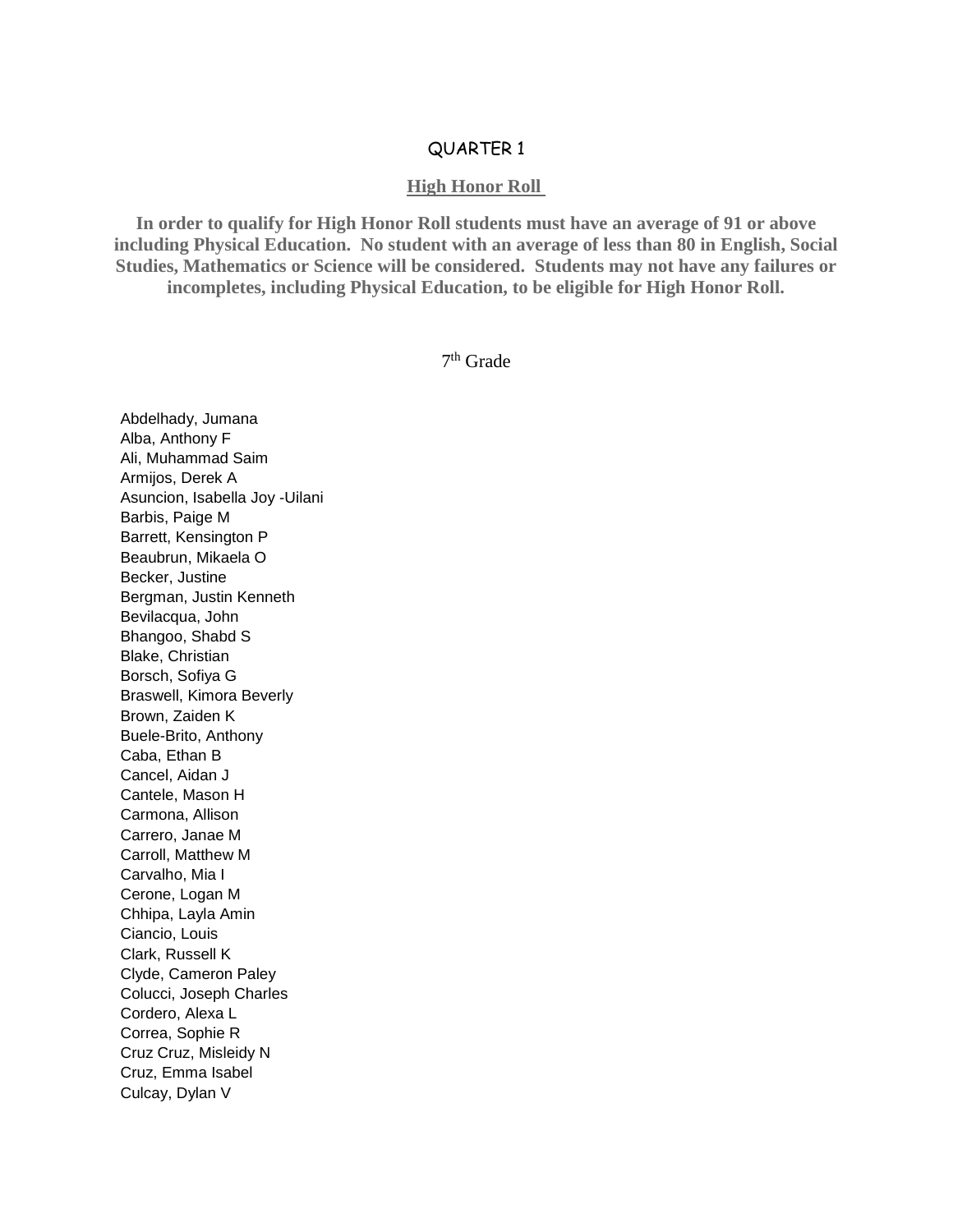## QUARTER 1

## **High Honor Roll**

**In order to qualify for High Honor Roll students must have an average of 91 or above including Physical Education. No student with an average of less than 80 in English, Social Studies, Mathematics or Science will be considered. Students may not have any failures or incompletes, including Physical Education, to be eligible for High Honor Roll.**

7 th Grade

Abdelhady, Jumana Alba, Anthony F Ali, Muhammad Saim Armijos, Derek A Asuncion, Isabella Joy -Uilani Barbis, Paige M Barrett, Kensington P Beaubrun, Mikaela O Becker, Justine Bergman, Justin Kenneth Bevilacqua, John Bhangoo, Shabd S Blake, Christian Borsch, Sofiya G Braswell, Kimora Beverly Brown, Zaiden K Buele-Brito, Anthony Caba, Ethan B Cancel, Aidan J Cantele, Mason H Carmona, Allison Carrero, Janae M Carroll, Matthew M Carvalho, Mia I Cerone, Logan M Chhipa, Layla Amin Ciancio, Louis Clark, Russell K Clyde, Cameron Paley Colucci, Joseph Charles Cordero, Alexa L Correa, Sophie R Cruz Cruz, Misleidy N Cruz, Emma Isabel Culcay, Dylan V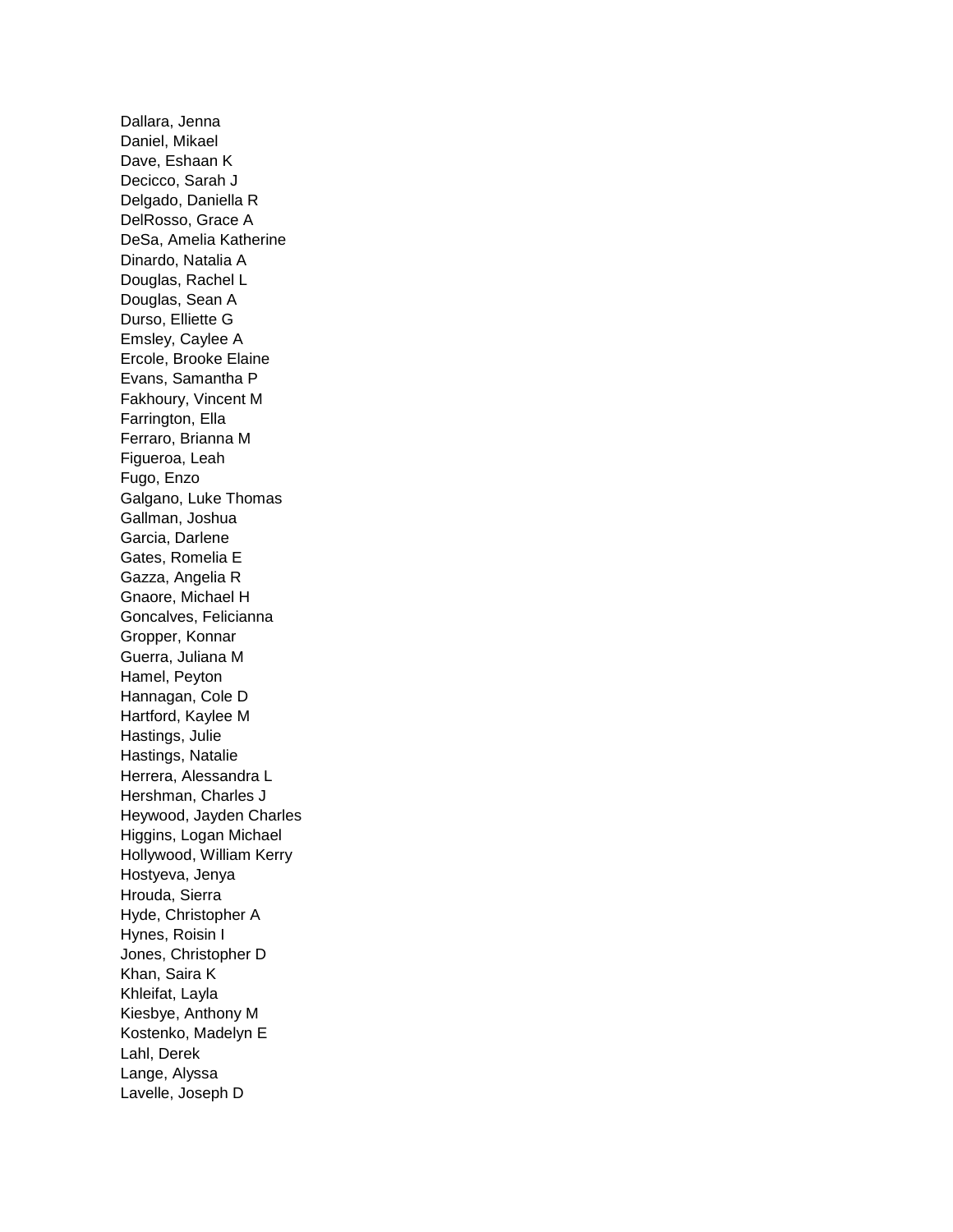Dallara, Jenna Daniel, Mikael Dave, Eshaan K Decicco, Sarah J Delgado, Daniella R DelRosso, Grace A DeSa, Amelia Katherine Dinardo, Natalia A Douglas, Rachel L Douglas, Sean A Durso, Elliette G Emsley, Caylee A Ercole, Brooke Elaine Evans, Samantha P Fakhoury, Vincent M Farrington, Ella Ferraro, Brianna M Figueroa, Leah Fugo, Enzo Galgano, Luke Thomas Gallman, Joshua Garcia, Darlene Gates, Romelia E Gazza, Angelia R Gnaore, Michael H Goncalves, Felicianna Gropper, Konnar Guerra, Juliana M Hamel, Peyton Hannagan, Cole D Hartford, Kaylee M Hastings, Julie Hastings, Natalie Herrera, Alessandra L Hershman, Charles J Heywood, Jayden Charles Higgins, Logan Michael Hollywood, William Kerry Hostyeva, Jenya Hrouda, Sierra Hyde, Christopher A Hynes, Roisin I Jones, Christopher D Khan, Saira K Khleifat, Layla Kiesbye, Anthony M Kostenko, Madelyn E Lahl, Derek Lange, Alyssa Lavelle, Joseph D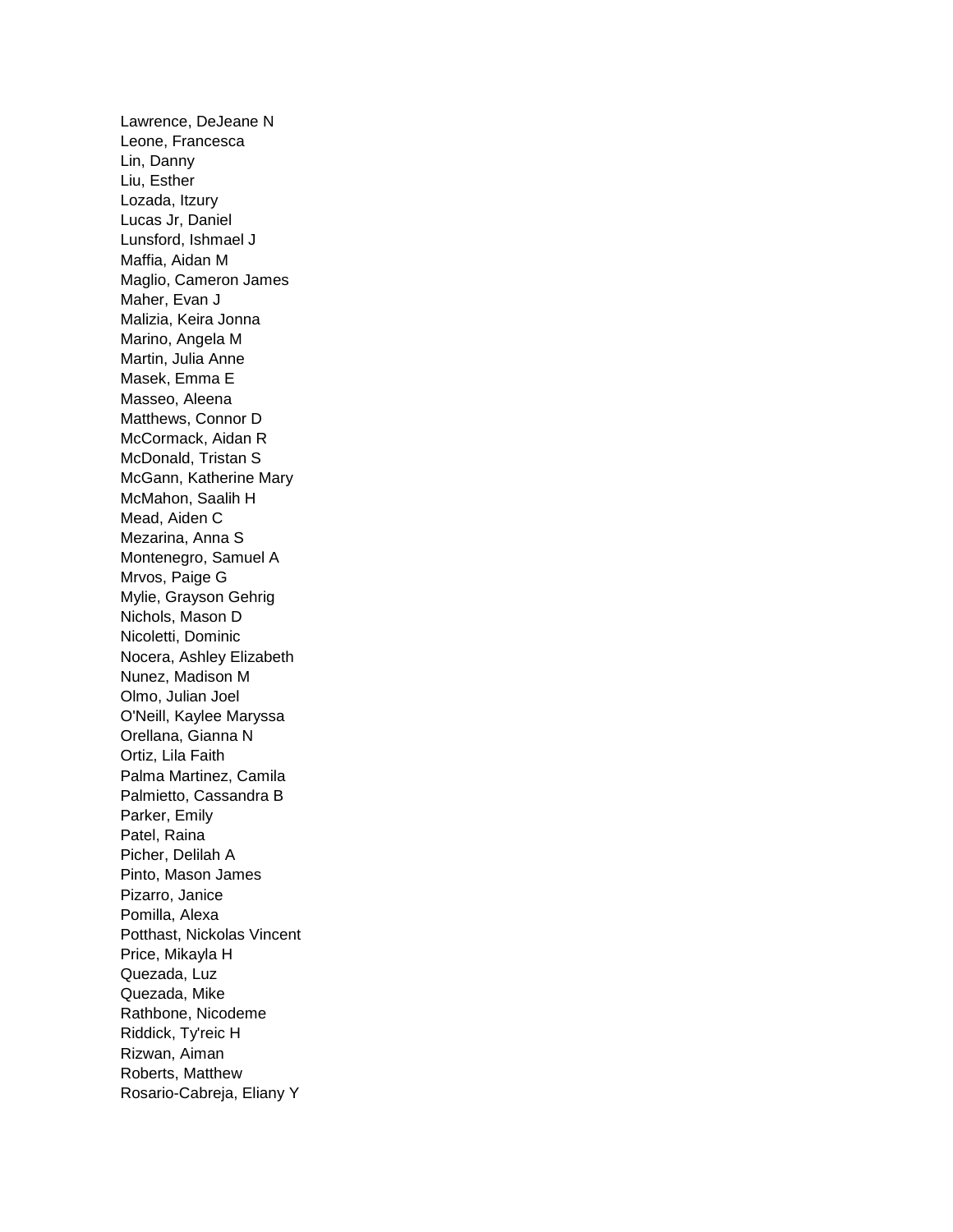Lawrence, DeJeane N Leone, Francesca Lin, Danny Liu, Esther Lozada, Itzury Lucas Jr, Daniel Lunsford, Ishmael J Maffia, Aidan M Maglio, Cameron James Maher, Evan J Malizia, Keira Jonna Marino, Angela M Martin, Julia Anne Masek, Emma E Masseo, Aleena Matthews, Connor D McCormack, Aidan R McDonald, Tristan S McGann, Katherine Mary McMahon, Saalih H Mead, Aiden C Mezarina, Anna S Montenegro, Samuel A Mrvos, Paige G Mylie, Grayson Gehrig Nichols, Mason D Nicoletti, Dominic Nocera, Ashley Elizabeth Nunez, Madison M Olmo, Julian Joel O'Neill, Kaylee Maryssa Orellana, Gianna N Ortiz, Lila Faith Palma Martinez, Camila Palmietto, Cassandra B Parker, Emily Patel, Raina Picher, Delilah A Pinto, Mason James Pizarro, Janice Pomilla, Alexa Potthast, Nickolas Vincent Price, Mikayla H Quezada, Luz Quezada, Mike Rathbone, Nicodeme Riddick, Ty'reic H Rizwan, Aiman Roberts, Matthew Rosario-Cabreja, Eliany Y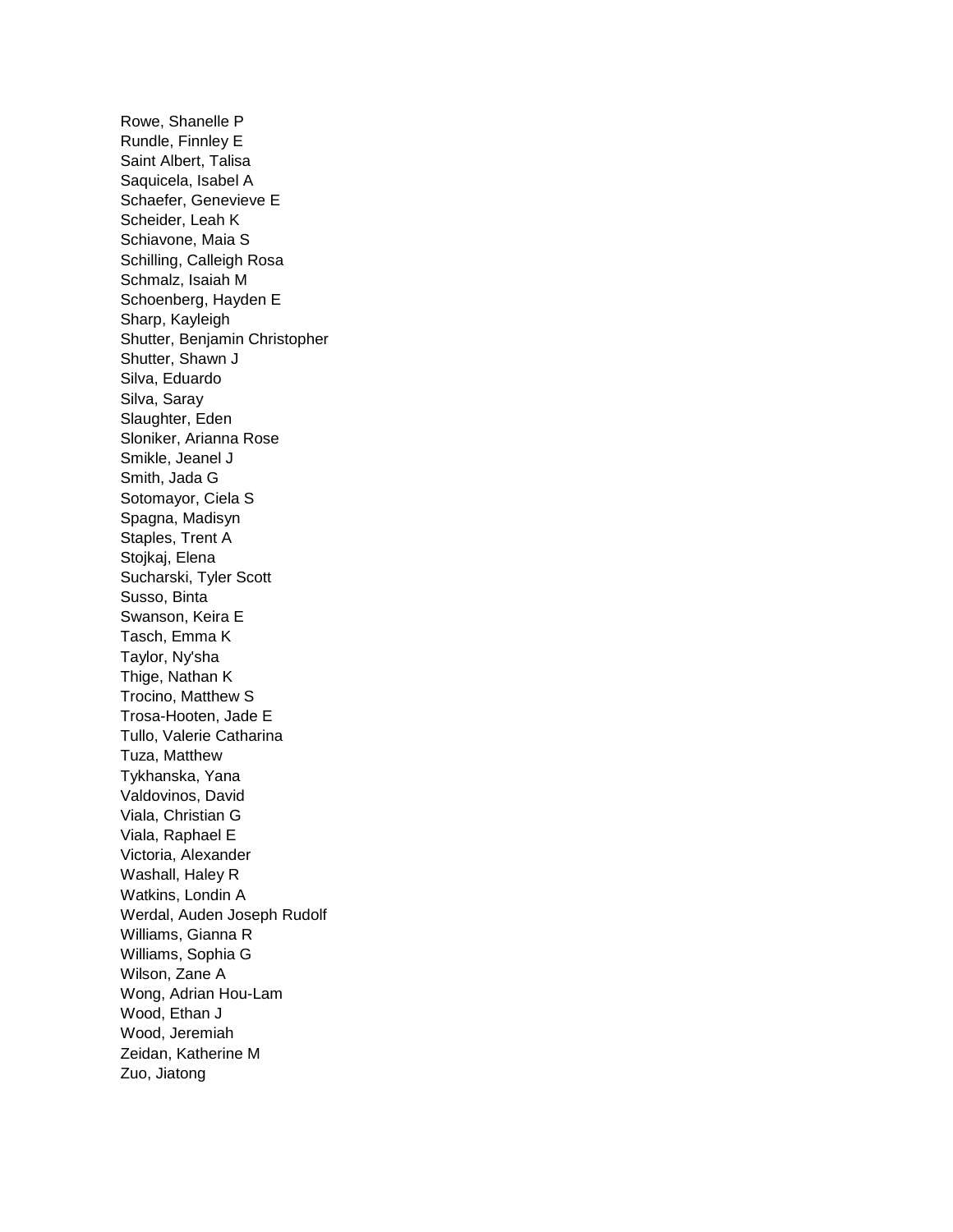Rowe, Shanelle P Rundle, Finnley E Saint Albert, Talisa Saquicela, Isabel A Schaefer, Genevieve E Scheider, Leah K Schiavone, Maia S Schilling, Calleigh Rosa Schmalz, Isaiah M Schoenberg, Hayden E Sharp, Kayleigh Shutter, Benjamin Christopher Shutter, Shawn J Silva, Eduardo Silva, Saray Slaughter, Eden Sloniker, Arianna Rose Smikle, Jeanel J Smith, Jada G Sotomayor, Ciela S Spagna, Madisyn Staples, Trent A Stojkaj, Elena Sucharski, Tyler Scott Susso, Binta Swanson, Keira E Tasch, Emma K Taylor, Ny'sha Thige, Nathan K Trocino, Matthew S Trosa-Hooten, Jade E Tullo, Valerie Catharina Tuza, Matthew Tykhanska, Yana Valdovinos, David Viala, Christian G Viala, Raphael E Victoria, Alexander Washall, Haley R Watkins, Londin A Werdal, Auden Joseph Rudolf Williams, Gianna R Williams, Sophia G Wilson, Zane A Wong, Adrian Hou-Lam Wood, Ethan J Wood, Jeremiah Zeidan, Katherine M Zuo, Jiatong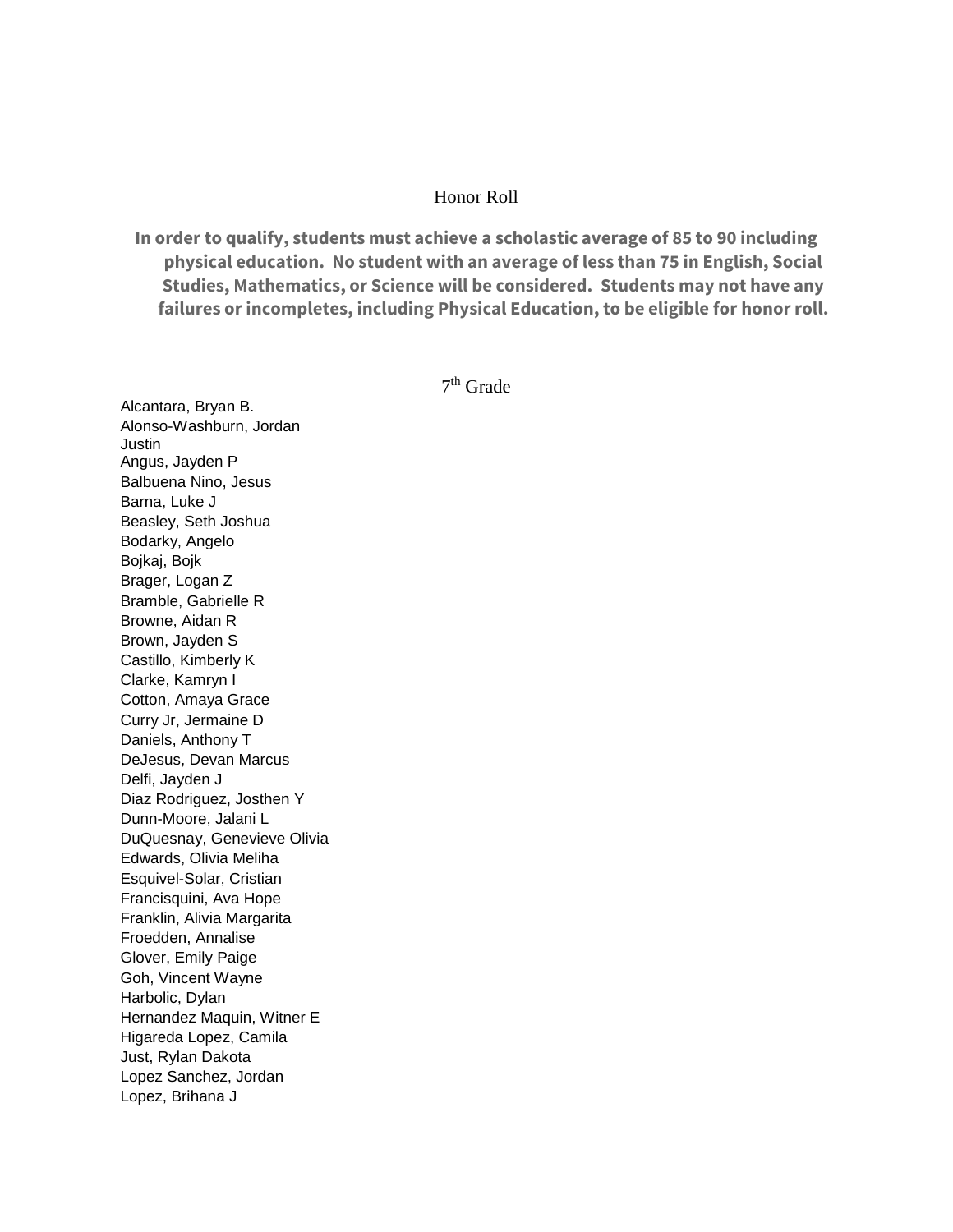## Honor Roll

**In order to qualify, students must achieve a scholastic average of 85 to 90 including physical education. No student with an average of less than 75 in English, Social Studies, Mathematics, or Science will be considered. Students may not have any failures or incompletes, including Physical Education, to be eligible for honor roll.**

7<sup>th</sup> Grade

Alcantara, Bryan B. Alonso-Washburn, Jordan **Justin** Angus, Jayden P Balbuena Nino, Jesus Barna, Luke J Beasley, Seth Joshua Bodarky, Angelo Bojkaj, Bojk Brager, Logan Z Bramble, Gabrielle R Browne, Aidan R Brown, Jayden S Castillo, Kimberly K Clarke, Kamryn I Cotton, Amaya Grace Curry Jr, Jermaine D Daniels, Anthony T DeJesus, Devan Marcus Delfi, Jayden J Diaz Rodriguez, Josthen Y Dunn-Moore, Jalani L DuQuesnay, Genevieve Olivia Edwards, Olivia Meliha Esquivel-Solar, Cristian Francisquini, Ava Hope Franklin, Alivia Margarita Froedden, Annalise Glover, Emily Paige Goh, Vincent Wayne Harbolic, Dylan Hernandez Maquin, Witner E Higareda Lopez, Camila Just, Rylan Dakota Lopez Sanchez, Jordan Lopez, Brihana J